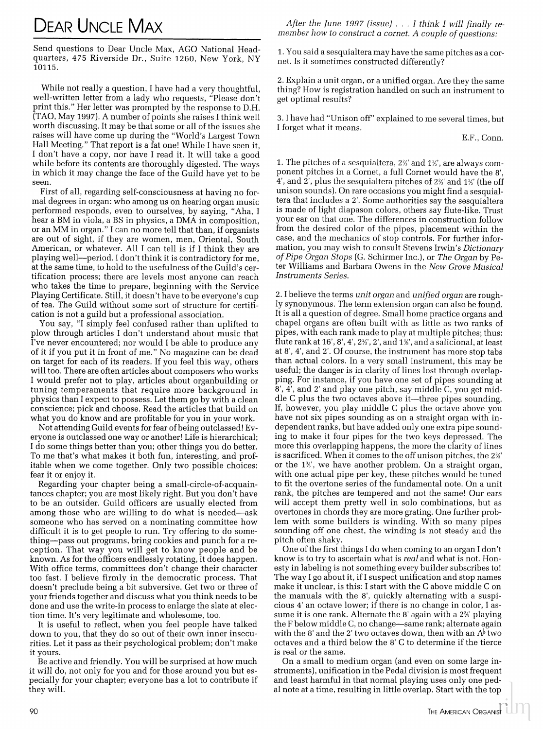## **DEAR UNCLE MAX**

Send questions to Dear Uncle Max, AGO National Headquarters, 475 Riverside Dr., Suite 1260, New York, NY 10115.

While not really a question, I have had a very thoughtful, well-written letter from a lady who requests, "Please don't print this." Her letter was prompted by the response to D.H. (TAO, May 1997). A number of points she raises I think well worth discussing. It may be that some or all of the issues she raises will have come up during the "World's Largest Town Hall Meeting." That report is a fat one! While I have seen it, I don't have a copy, nor have I read it. It will take a good while before its contents are thoroughly digested. The ways in which it may change the face of the Guild have yet to be seen.

First of all, regarding self-consciousness at having no formal degrees in organ: who among us on hearing organ music performed responds, even to ourselves, by saying, "Aha, I hear a BM in viola, a BS in physics, a DMA in composition, or an MM in organ." I can no more tell that than, if organists are out of sight, if they are women, men, Oriental, South American, or whatever. All I can tell is if I think they are playing well—period. I don't think it is contradictory for me, at the same time, to hold to the usefulness of the Guild's certification process; there are levels most anyone can reach who takes the time to prepare, beginning with the Service Playing Certificate. Still, it doesn't have to be everyone's cup of tea. The Guild without some sort of structure for certification is not a guild but a professional association.

You say, "I simply feel confused rather than uplifted to plow through articles I don't understand about music that I've never encountered; nor would I be able to produce any of it if you put it in front of me." No magazine can be dead on target for each of its readers. If you feel this way, others will too. There are often articles about composers who works I would prefer not to play, articles about organbuilding or tuning temperaments that require more background in physics than I expect to possess. Let them go by with a clean conscience; pick and choose. Read the articles that build on what you do know and are profitable for you in your work.

Not attending Guild events for fear of being outclassed! Everyone is outclassed one way or another! Life is hierarchical; I do some things better than you; other things you do better. To me that's what makes it both fun, interesting, and profitable when we come together. Only two possible choices: fear it or enjoy it.

Regarding your chapter being a small-circle-of-acquaintances chapter; you are most likely right. But you don't have to be an outsider. Guild officers are usually elected from among those who are willing to do what is needed—ask someone who has served on a nominating committee how difficult it is to get people to run. Try offering to do something-pass out programs, bring cookies and punch for a reception. That way you will get to know people and be known. As for the officers endlessly rotating, it does happen. With office terms, committees don't change their character too fast. I believe firmly in the democratic process. That doesn't preclude being a bit subversive. Get two or three of your friends together and discuss what you think needs to be done and use the write-in process to enlarge the slate at election time. It's very legitimate and wholesome, too.

It is useful to reflect, when you feel people have talked down to you, that they do so out of their own inner insecurities. Let it pass as their psychological problem; don't make it vours.

Be active and friendly. You will be surprised at how much it will do, not only for you and for those around you but especially for your chapter; everyone has a lot to contribute if they will.

After the June 1997 (issue)  $\ldots$  I think I will finally remember how to construct a cornet. A couple of questions:

1. You said a sesquialtera may have the same pitches as a cornet. Is it sometimes constructed differently?

2. Explain a unit organ, or a unified organ. Are they the same thing? How is registration handled on such an instrument to get optimal results?

3. I have had "Unison off" explained to me several times, but I forget what it means.

E.F., Conn.

1. The pitches of a sesquialtera, 2%' and 1%', are always component pitches in a Cornet, a full Cornet would have the 8'. 4', and 2', plus the sesquialtera pitches of 2%' and 1%' (the off unison sounds). On rare occasions you might find a sesquialtera that includes a 2'. Some authorities say the sesquialtera is made of light diapason colors, others say flute-like. Trust your ear on that one. The differences in construction follow from the desired color of the pipes, placement within the case, and the mechanics of stop controls. For further information, you may wish to consult Stevens Irwin's Dictionary of Pipe Organ Stops (G. Schirmer Inc.), or The Organ by Peter Williams and Barbara Owens in the New Grove Musical **Instruments Series.** 

2. I believe the terms unit organ and unified organ are roughly synonymous. The term extension organ can also be found. It is all a question of degree. Small home practice organs and chapel organs are often built with as little as two ranks of pipes, with each rank made to play at multiple pitches; thus: flute rank at  $16'$ ,  $8'$ ,  $4'$ ,  $2\frac{2}{3}$ ,  $2'$ , and  $1\frac{2}{3}$ , and a salicional, at least at 8', 4', and 2'. Of course, the instrument has more stop tabs than actual colors. In a very small instrument, this may be useful; the danger is in clarity of lines lost through overlapping. For instance, if you have one set of pipes sounding at 8', 4', and 2' and play one pitch, say middle C, you get middle C plus the two octaves above it—three pipes sounding. If, however, you play middle C plus the octave above you have not six pipes sounding as on a straight organ with independent ranks, but have added only one extra pipe sounding to make it four pipes for the two keys depressed. The more this overlapping happens, the more the clarity of lines is sacrificed. When it comes to the off unison pitches, the 2%' or the 1<sup>3</sup>%', we have another problem. On a straight organ, with one actual pipe per key, these pitches would be tuned to fit the overtone series of the fundamental note. On a unit rank, the pitches are tempered and not the same! Our ears will accept them pretty well in solo combinations, but as overtones in chords they are more grating. One further problem with some builders is winding. With so many pipes sounding off one chest, the winding is not steady and the pitch often shaky.

One of the first things I do when coming to an organ I don't know is to try to ascertain what is real and what is not. Honesty in labeling is not something every builder subscribes to! The way I go about it, if I suspect unification and stop names make it unclear, is this: I start with the C above middle C on the manuals with the 8', quickly alternating with a suspicious 4' an octave lower; if there is no change in color, I assume it is one rank. Alternate the 8' again with a 2%' playing the F below middle C, no change—same rank; alternate again with the 8' and the 2' two octaves down, then with an  $A^{\flat}$  two octaves and a third below the 8' C to determine if the tierce is real or the same.

On a small to medium organ (and even on some large instruments), unification in the Pedal division is most frequent and least harmful in that normal playing uses only one pedal note at a time, resulting in little overlap. Start with the top